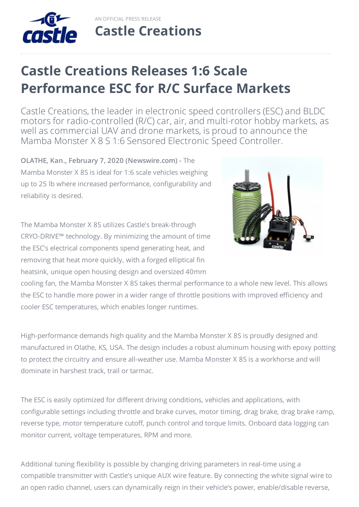

AN OFFICIAL PRESS RELEASE **Castle [Creations](http://www.castlecreations.com)**

## **Castle Creations Releases 1:6 Scale Performance ESC for R/C Surface Markets**

Castle Creations, the leader in electronic speed controllers (ESC) and BLDC motors for radio-controlled (R/C) car, air, and multi-rotor hobby markets, as well as commercial UAV and drone markets, is proud to announce the Mamba Monster X 8 S 1:6 Sensored Electronic Speed Controller.

**OLATHE, Kan., February 7, 2020 (Newswire.com) -** The Mamba Monster X 8S is ideal for 1:6 scale vehicles weighing up to 25 lb where increased performance, configurability and reliability is desired.

The Mamba Monster X 8S utilizes Castle's break-through CRYO-DRIVE™ technology. By minimizing the amount of time the ESC's electrical components spend generating heat, and removing that heat more quickly, with a forged elliptical fin heatsink, unique open housing design and oversized 40mm



cooling fan, the Mamba Monster X 8S takes thermal performance to a whole new level. This allows the ESC to handle more power in a wider range of throttle positions with improved efficiency and cooler ESC temperatures, which enables longer runtimes.

High-performance demands high quality and the Mamba Monster X 8S is proudly designed and manufactured in Olathe, KS, USA. The design includes a robust aluminum housing with epoxy potting to protect the circuitry and ensure all-weather use. Mamba Monster X 8S is a workhorse and will dominate in harshest track, trail or tarmac.

The ESC is easily optimized for different driving conditions, vehicles and applications, with configurable settings including throttle and brake curves, motor timing, drag brake, drag brake ramp, reverse type, motor temperature cutoff, punch control and torque limits. Onboard data logging can monitor current, voltage temperatures, RPM and more.

Additional tuning flexibility is possible by changing driving parameters in real-time using a compatible transmitter with Castle's unique AUX wire feature. By connecting the white signal wire to an open radio channel, users can dynamically reign in their vehicle's power, enable/disable reverse,